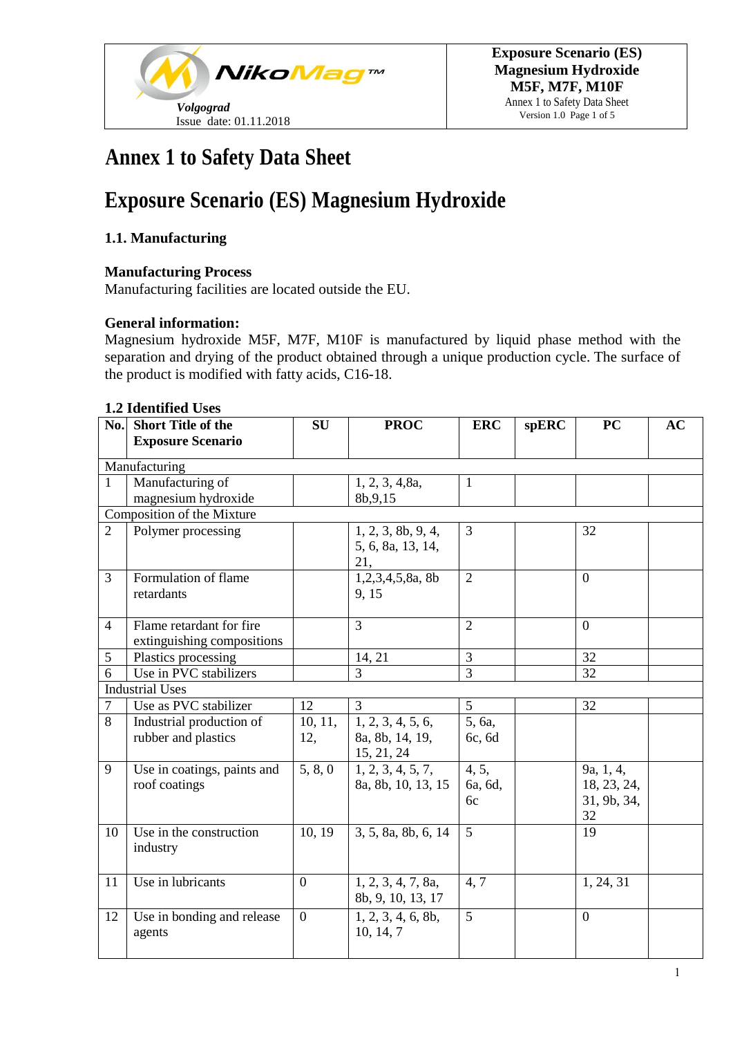

Annex 1 to Safety Data Sheet Version 1.0 Page 1 of 5

# **Annex 1 to Safety Data Sheet**

# **Exposure Scenario (ES) Magnesium Hydroxide**

### **1.1. Manufacturing**

#### **Manufacturing Process**

Manufacturing facilities are located outside the EU.

#### **General information:**

Magnesium hydroxide M5F, M7F, M10F is manufactured by liquid phase method with the separation and drying of the product obtained through a unique production cycle. The surface of the product is modified with fatty acids, C16-18.

#### **1.2 Identified Uses**

| No.            | <b>Short Title of the</b>   | <b>SU</b>      | <b>PROC</b>         | <b>ERC</b>     | <b>spERC</b> | <b>PC</b>      | AC |
|----------------|-----------------------------|----------------|---------------------|----------------|--------------|----------------|----|
|                | <b>Exposure Scenario</b>    |                |                     |                |              |                |    |
|                | Manufacturing               |                |                     |                |              |                |    |
| $\mathbf{1}$   | Manufacturing of            |                | 1, 2, 3, 4, 8a,     | $\mathbf{1}$   |              |                |    |
|                | magnesium hydroxide         |                | 8b, 9, 15           |                |              |                |    |
|                | Composition of the Mixture  |                |                     |                |              |                |    |
| $\overline{2}$ | Polymer processing          |                | 1, 2, 3, 8b, 9, 4,  | $\overline{3}$ |              | 32             |    |
|                |                             |                | 5, 6, 8a, 13, 14,   |                |              |                |    |
|                |                             |                | 21,                 |                |              |                |    |
| 3              | Formulation of flame        |                | 1,2,3,4,5,8a, 8b    | $\overline{2}$ |              | $\overline{0}$ |    |
|                | retardants                  |                | 9, 15               |                |              |                |    |
|                |                             |                |                     |                |              |                |    |
| $\overline{4}$ | Flame retardant for fire    |                | $\overline{3}$      | $\overline{2}$ |              | $\overline{0}$ |    |
|                | extinguishing compositions  |                |                     |                |              |                |    |
| 5              | Plastics processing         |                | 14, 21              | 3              |              | 32             |    |
| 6              | Use in PVC stabilizers      |                | 3                   | $\overline{3}$ |              | 32             |    |
|                | <b>Industrial Uses</b>      |                |                     |                |              |                |    |
| $\overline{7}$ | Use as PVC stabilizer       | 12             | 3                   | $\overline{5}$ |              | 32             |    |
| 8              | Industrial production of    | 10, 11,        | 1, 2, 3, 4, 5, 6,   | 5, 6a,         |              |                |    |
|                | rubber and plastics         | 12,            | 8a, 8b, 14, 19,     | 6c, 6d         |              |                |    |
|                |                             |                | 15, 21, 24          |                |              |                |    |
| 9              | Use in coatings, paints and | 5, 8, 0        | 1, 2, 3, 4, 5, 7,   | 4, 5,          |              | 9a, 1, 4,      |    |
|                | roof coatings               |                | 8a, 8b, 10, 13, 15  | 6a, 6d,        |              | 18, 23, 24,    |    |
|                |                             |                |                     | 6c             |              | 31, 9b, 34,    |    |
|                |                             |                |                     |                |              | 32             |    |
| 10             | Use in the construction     | 10, 19         | 3, 5, 8a, 8b, 6, 14 | $\overline{5}$ |              | 19             |    |
|                | industry                    |                |                     |                |              |                |    |
|                |                             |                |                     |                |              |                |    |
| 11             | Use in lubricants           | $\Omega$       | 1, 2, 3, 4, 7, 8a,  | 4,7            |              | 1, 24, 31      |    |
|                |                             |                | 8b, 9, 10, 13, 17   |                |              |                |    |
| 12             | Use in bonding and release  | $\overline{0}$ | 1, 2, 3, 4, 6, 8b,  | 5              |              | $\mathbf{0}$   |    |
|                | agents                      |                | 10, 14, 7           |                |              |                |    |
|                |                             |                |                     |                |              |                |    |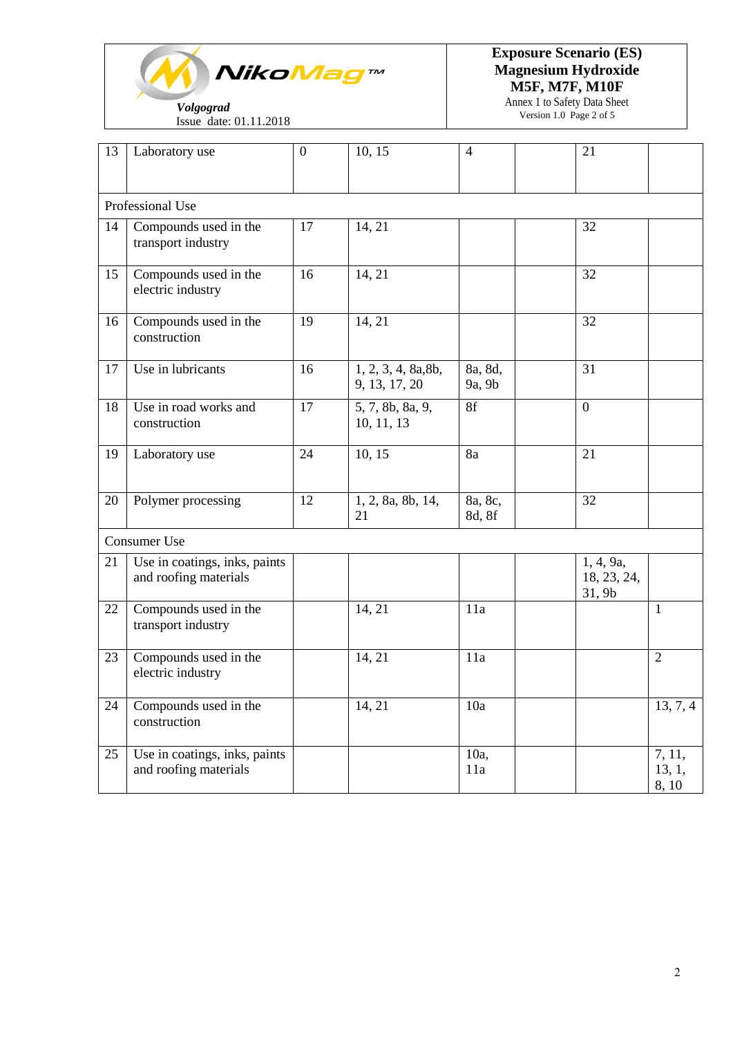

Issue date: 01.11.2018

**Exposure Scenario (ES) Magnesium Hydroxide M5F, M7F, M10F** 

> Annex 1 to Safety Data Sheet Version 1.0 Page 2 of 5

| 13 | Laboratory use                                         | $\boldsymbol{0}$ | 10, 15                               | $\overline{4}$    | 21                                 |                           |
|----|--------------------------------------------------------|------------------|--------------------------------------|-------------------|------------------------------------|---------------------------|
|    | Professional Use                                       |                  |                                      |                   |                                    |                           |
| 14 | Compounds used in the<br>transport industry            | 17               | 14, 21                               |                   | 32                                 |                           |
| 15 | Compounds used in the<br>electric industry             | 16               | 14, 21                               |                   | 32                                 |                           |
| 16 | Compounds used in the<br>construction                  | 19               | 14, 21                               |                   | 32                                 |                           |
| 17 | Use in lubricants                                      | 16               | 1, 2, 3, 4, 8a, 8b,<br>9, 13, 17, 20 | 8a, 8d,<br>9a, 9b | 31                                 |                           |
| 18 | Use in road works and<br>construction                  | 17               | 5, 7, 8b, 8a, 9,<br>10, 11, 13       | 8f                | $\boldsymbol{0}$                   |                           |
| 19 | Laboratory use                                         | 24               | 10, 15                               | 8a                | 21                                 |                           |
| 20 | Polymer processing                                     | 12               | 1, 2, 8a, 8b, 14,<br>21              | 8a, 8c,<br>8d, 8f | 32                                 |                           |
|    | Consumer Use                                           |                  |                                      |                   |                                    |                           |
| 21 | Use in coatings, inks, paints<br>and roofing materials |                  |                                      |                   | 1, 4, 9a,<br>18, 23, 24,<br>31, 9b |                           |
| 22 | Compounds used in the<br>transport industry            |                  | 14, 21                               | 11a               |                                    | 1                         |
| 23 | Compounds used in the<br>electric industry             |                  | 14, 21                               | 11a               |                                    | $\overline{2}$            |
| 24 | Compounds used in the<br>construction                  |                  | 14, 21                               | 10a               |                                    | 13, 7, 4                  |
| 25 | Use in coatings, inks, paints<br>and roofing materials |                  |                                      | 10a,<br>11a       |                                    | 7, 11,<br>13, 1,<br>8, 10 |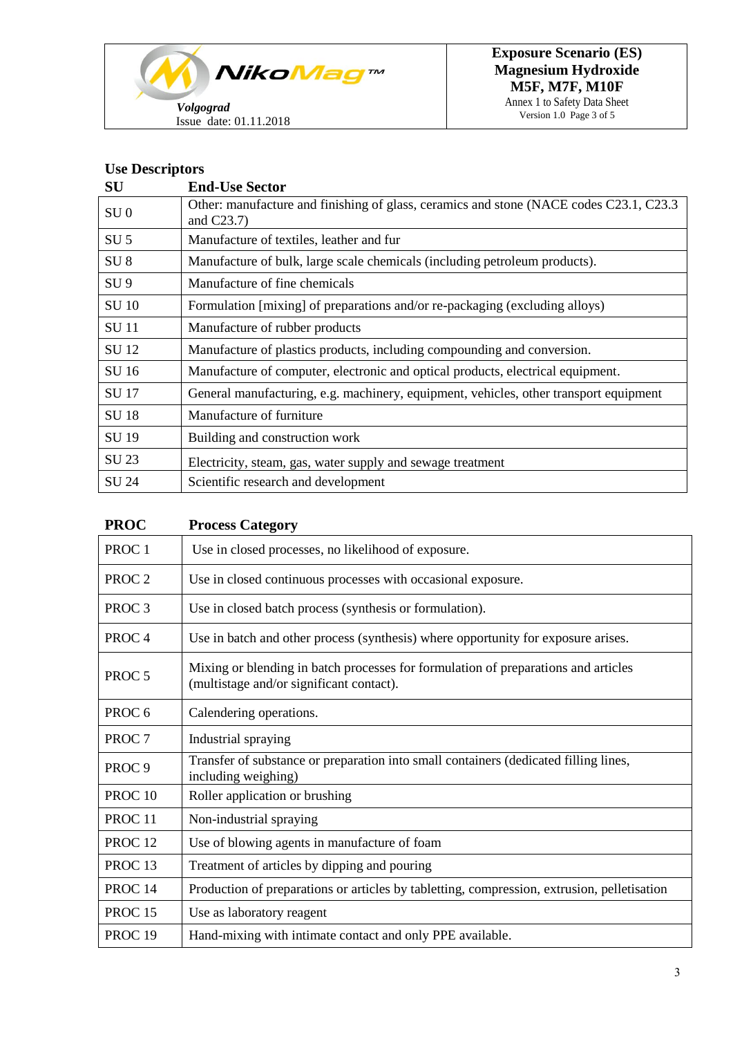

Annex 1 to Safety Data Sheet Version 1.0 Page 3 of 5

### **Use Descriptors**

| ${\bf SU}$      | <b>End-Use Sector</b>                                                                                    |
|-----------------|----------------------------------------------------------------------------------------------------------|
| SU <sub>0</sub> | Other: manufacture and finishing of glass, ceramics and stone (NACE codes C23.1, C23.3)<br>and $C23.7$ ) |
| SU <sub>5</sub> | Manufacture of textiles, leather and fur                                                                 |
| SU <sub>8</sub> | Manufacture of bulk, large scale chemicals (including petroleum products).                               |
| SU <sub>9</sub> | Manufacture of fine chemicals                                                                            |
| <b>SU 10</b>    | Formulation [mixing] of preparations and/or re-packaging (excluding alloys)                              |
| <b>SU</b> 11    | Manufacture of rubber products                                                                           |
| <b>SU12</b>     | Manufacture of plastics products, including compounding and conversion.                                  |
| SU 16           | Manufacture of computer, electronic and optical products, electrical equipment.                          |
| <b>SU17</b>     | General manufacturing, e.g. machinery, equipment, vehicles, other transport equipment                    |
| <b>SU18</b>     | Manufacture of furniture                                                                                 |
| <b>SU 19</b>    | Building and construction work                                                                           |
| SU 23           | Electricity, steam, gas, water supply and sewage treatment                                               |
| SU 24           | Scientific research and development                                                                      |

| <b>PROC</b>        | <b>Process Category</b>                                                                                                        |
|--------------------|--------------------------------------------------------------------------------------------------------------------------------|
| PROC <sub>1</sub>  | Use in closed processes, no likelihood of exposure.                                                                            |
| PROC <sub>2</sub>  | Use in closed continuous processes with occasional exposure.                                                                   |
| PROC <sub>3</sub>  | Use in closed batch process (synthesis or formulation).                                                                        |
| PROC <sub>4</sub>  | Use in batch and other process (synthesis) where opportunity for exposure arises.                                              |
| PROC <sub>5</sub>  | Mixing or blending in batch processes for formulation of preparations and articles<br>(multistage and/or significant contact). |
| PROC <sub>6</sub>  | Calendering operations.                                                                                                        |
| PROC <sub>7</sub>  | Industrial spraying                                                                                                            |
| PROC <sub>9</sub>  | Transfer of substance or preparation into small containers (dedicated filling lines,<br>including weighing)                    |
| PROC <sub>10</sub> | Roller application or brushing                                                                                                 |
| PROC <sub>11</sub> | Non-industrial spraying                                                                                                        |
| PROC <sub>12</sub> | Use of blowing agents in manufacture of foam                                                                                   |
| PROC <sub>13</sub> | Treatment of articles by dipping and pouring                                                                                   |
| PROC <sub>14</sub> | Production of preparations or articles by tabletting, compression, extrusion, pelletisation                                    |
| PROC <sub>15</sub> | Use as laboratory reagent                                                                                                      |
| PROC <sub>19</sub> | Hand-mixing with intimate contact and only PPE available.                                                                      |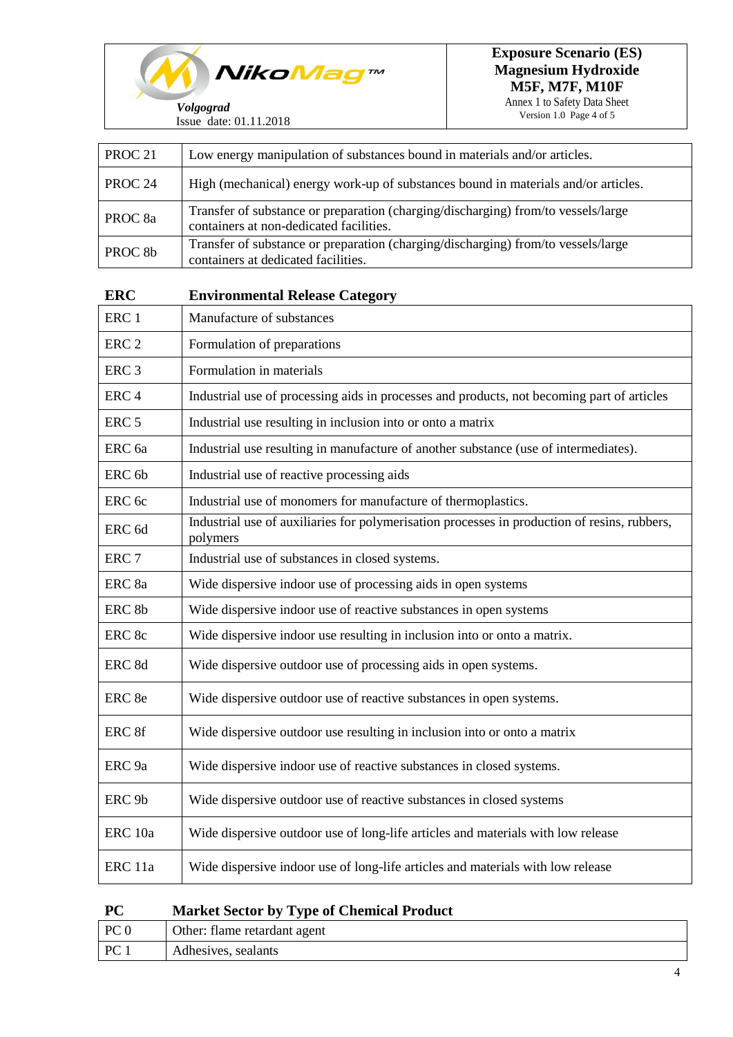

 $\mathsf{r}$ 

Annex 1 to Safety Data Sheet Version 1.0 Page 4 of 5

| PROC <sub>21</sub> | Low energy manipulation of substances bound in materials and/or articles.                                                    |
|--------------------|------------------------------------------------------------------------------------------------------------------------------|
| PROC <sub>24</sub> | High (mechanical) energy work-up of substances bound in materials and/or articles.                                           |
| PROC <sub>8a</sub> | Transfer of substance or preparation (charging/discharging) from/to vessels/large<br>containers at non-dedicated facilities. |
| PROC <sub>8b</sub> | Transfer of substance or preparation (charging/discharging) from/to vessels/large<br>containers at dedicated facilities.     |
| <b>ERC</b>         | <b>Environmental Release Category</b>                                                                                        |
| ERC <sub>1</sub>   | Manufacture of substances                                                                                                    |
| ERC <sub>2</sub>   | Formulation of preparations                                                                                                  |
| ERC <sub>3</sub>   | Formulation in materials                                                                                                     |
| ERC <sub>4</sub>   | Industrial use of processing aids in processes and products, not becoming part of articles                                   |
| ERC <sub>5</sub>   | Industrial use resulting in inclusion into or onto a matrix                                                                  |
| ERC <sub>6a</sub>  | Industrial use resulting in manufacture of another substance (use of intermediates).                                         |
| ERC <sub>6b</sub>  | Industrial use of reactive processing aids                                                                                   |
| ERC 6c             | Industrial use of monomers for manufacture of thermoplastics.                                                                |
| ERC <sub>6d</sub>  | Industrial use of auxiliaries for polymerisation processes in production of resins, rubbers,<br>polymers                     |
| ERC <sub>7</sub>   | Industrial use of substances in closed systems.                                                                              |
| ERC <sub>8a</sub>  | Wide dispersive indoor use of processing aids in open systems                                                                |
| ERC <sub>8b</sub>  | Wide dispersive indoor use of reactive substances in open systems                                                            |
| ERC 8c             | Wide dispersive indoor use resulting in inclusion into or onto a matrix.                                                     |
| ERC 8d             | Wide dispersive outdoor use of processing aids in open systems.                                                              |
| ERC 8e             | Wide dispersive outdoor use of reactive substances in open systems.                                                          |
| ERC 8f             | Wide dispersive outdoor use resulting in inclusion into or onto a matrix                                                     |
| ERC <sub>9a</sub>  | Wide dispersive indoor use of reactive substances in closed systems.                                                         |
| ERC <sub>9b</sub>  | Wide dispersive outdoor use of reactive substances in closed systems                                                         |
| ERC <sub>10a</sub> | Wide dispersive outdoor use of long-life articles and materials with low release                                             |
| ERC 11a            | Wide dispersive indoor use of long-life articles and materials with low release                                              |

| $\bf PC$<br><b>Market Sector by Type of Chemical Product</b> |  |
|--------------------------------------------------------------|--|
|--------------------------------------------------------------|--|

| PC <sub>0</sub> | Other: flame retardant agent |
|-----------------|------------------------------|
| PC <sub>1</sub> | Adhesives, sealants          |